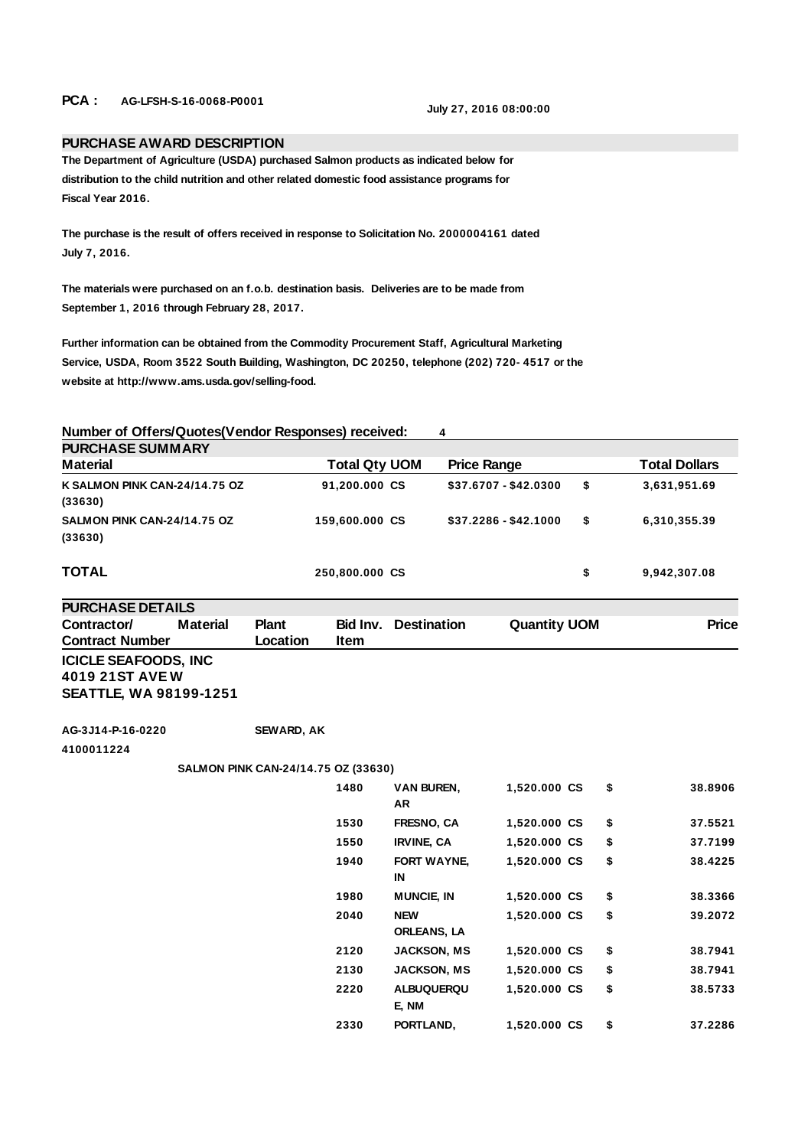## **PCA : AG-LFSH-S-16-0068-P0001 July 27, 2016 08:00:00**

## **PURCHASE AWARD DESCRIPTION**

**The Department of Agriculture (USDA) purchased Salmon products as indicated below for distribution to the child nutrition and other related domestic food assistance programs for Fiscal Year 2016.**

**The purchase is the result of offers received in response to Solicitation No. 2000004161 dated July 7, 2016.**

**The materials were purchased on an f.o.b. destination basis. Deliveries are to be made from September 1, 2016 through February 28, 2017.**

**Further information can be obtained from the Commodity Procurement Staff, Agricultural Marketing Service, USDA, Room 3522 South Building, Washington, DC 20250, telephone (202) 720- 4517 or the website at http://www.ams.usda.gov/selling-food.**

**Number of Offers/Quotes(Vendor Responses) received: 4** 

| <b>Material</b>                          | <b>Total Qty UOM</b> | <b>Price Range</b>    | <b>Total Dollars</b> |
|------------------------------------------|----------------------|-----------------------|----------------------|
| K SALMON PINK CAN-24/14.75 OZ<br>(33630) | 91,200.000 CS        | \$37.6707 - \$42.0300 | \$<br>3,631,951.69   |
| SALMON PINK CAN-24/14.75 OZ<br>(33630)   | 159,600.000 CS       | $$37.2286 - $42.1000$ | \$<br>6,310,355.39   |
| TOTAL                                    | 250,800.000 CS       |                       | \$<br>9,942,307.08   |

**PURCHASE DETAILS Contractor/ Contract Number Material Plant Location Bid Inv. Item Quantity UOM Price ICICLE SEAFOODS, INC 4019 21ST AVE W SEATTLE, WA 98199-1251**

**AG-3J14-P-16-0220 SEWARD, AK**

**4100011224**

## **SALMON PINK CAN-24/14.75 OZ (33630)**

| 1480 | <b>VAN BUREN,</b><br>AR          | 1,520.000 CS | \$<br>38.8906 |
|------|----------------------------------|--------------|---------------|
| 1530 | <b>FRESNO, CA</b>                | 1,520.000 CS | \$<br>37.5521 |
| 1550 | <b>IRVINE, CA</b>                | 1,520.000 CS | \$<br>37.7199 |
| 1940 | <b>FORT WAYNE.</b><br>IN         | 1,520.000 CS | \$<br>38.4225 |
| 1980 | <b>MUNCIE, IN</b>                | 1,520.000 CS | \$<br>38.3366 |
| 2040 | <b>NEW</b><br><b>ORLEANS, LA</b> | 1,520.000 CS | \$<br>39.2072 |
| 2120 | <b>JACKSON, MS</b>               | 1,520.000 CS | \$<br>38.7941 |
| 2130 | <b>JACKSON, MS</b>               | 1,520.000 CS | \$<br>38.7941 |
| 2220 | <b>ALBUQUERQU</b><br>E, NM       | 1.520.000 CS | \$<br>38.5733 |
| 2330 | PORTLAND.                        | 1,520.000 CS | \$<br>37.2286 |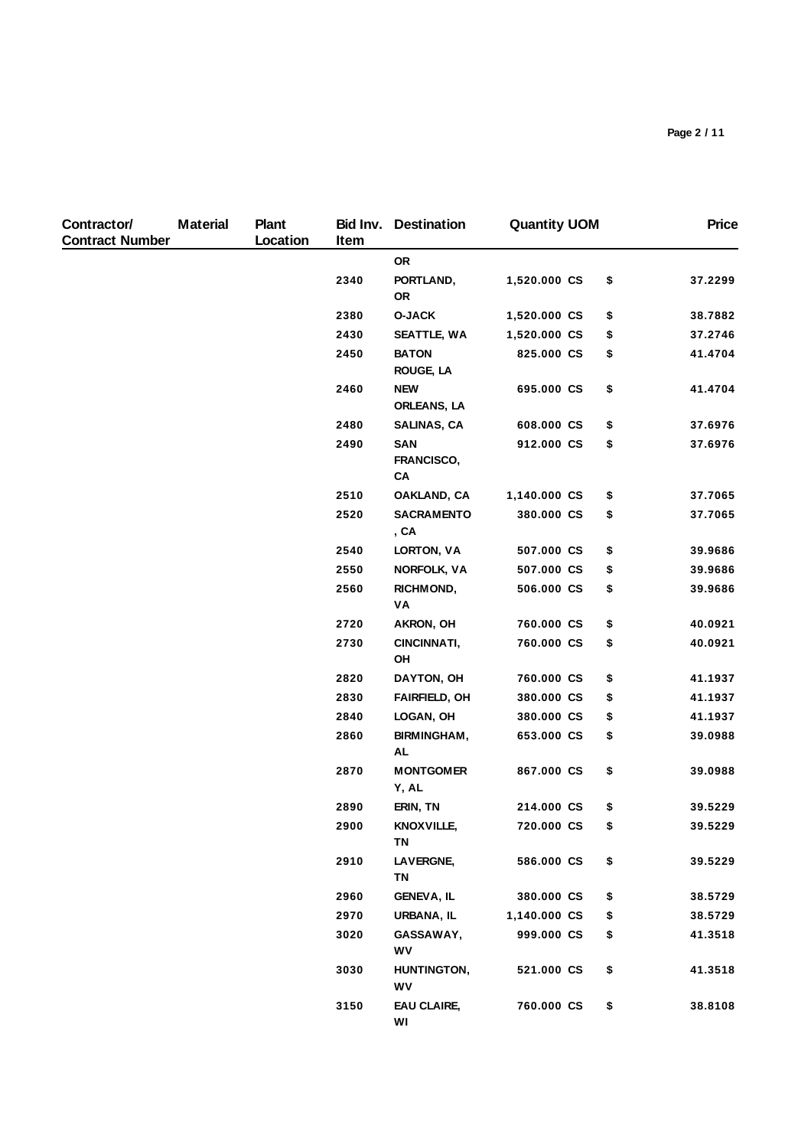| Contractor/<br><b>Contract Number</b> | <b>Material</b> | <b>Plant</b><br>Location | Item | <b>Bid Inv. Destination</b>      | <b>Quantity UOM</b> | <b>Price</b>  |
|---------------------------------------|-----------------|--------------------------|------|----------------------------------|---------------------|---------------|
|                                       |                 |                          |      | <b>OR</b>                        |                     |               |
|                                       |                 |                          | 2340 | PORTLAND,<br>0R                  | 1,520.000 CS        | \$<br>37.2299 |
|                                       |                 |                          | 2380 | <b>O-JACK</b>                    | 1,520.000 CS        | \$<br>38.7882 |
|                                       |                 |                          | 2430 | SEATTLE, WA                      | 1,520.000 CS        | \$<br>37.2746 |
|                                       |                 |                          | 2450 | <b>BATON</b><br><b>ROUGE, LA</b> | 825.000 CS          | \$<br>41.4704 |
|                                       |                 |                          | 2460 | <b>NEW</b><br>ORLEANS, LA        | 695.000 CS          | \$<br>41.4704 |
|                                       |                 |                          | 2480 | SALINAS, CA                      | 608.000 CS          | \$<br>37.6976 |
|                                       |                 |                          | 2490 | SAN<br>FRANCISCO,<br>CA          | 912.000 CS          | \$<br>37.6976 |
|                                       |                 |                          | 2510 | OAKLAND, CA                      | 1,140.000 CS        | \$<br>37.7065 |
|                                       |                 |                          | 2520 | <b>SACRAMENTO</b><br>, CA        | 380.000 CS          | \$<br>37.7065 |
|                                       |                 |                          | 2540 | LORTON, VA                       | 507.000 CS          | \$<br>39.9686 |
|                                       |                 |                          | 2550 | <b>NORFOLK, VA</b>               | 507.000 CS          | \$<br>39.9686 |
|                                       |                 |                          | 2560 | RICHMOND,<br>VA                  | 506.000 CS          | \$<br>39.9686 |
|                                       |                 |                          | 2720 | AKRON, OH                        | 760.000 CS          | \$<br>40.0921 |
|                                       |                 |                          | 2730 | CINCINNATI,<br>OH                | 760.000 CS          | \$<br>40.0921 |
|                                       |                 |                          | 2820 | DAYTON, OH                       | 760.000 CS          | \$<br>41.1937 |
|                                       |                 |                          | 2830 | <b>FAIRFIELD, OH</b>             | 380.000 CS          | \$<br>41.1937 |
|                                       |                 |                          | 2840 | LOGAN, OH                        | 380.000 CS          | \$<br>41.1937 |
|                                       |                 |                          | 2860 | BIRMINGHAM,<br><b>AL</b>         | 653.000 CS          | \$<br>39.0988 |
|                                       |                 |                          | 2870 | <b>MONTGOMER</b><br>Y, AL        | 867.000 CS          | \$<br>39.0988 |
|                                       |                 |                          | 2890 | ERIN, TN                         | 214.000 CS          | \$<br>39.5229 |
|                                       |                 |                          | 2900 | KNOX VILLE,<br>TN                | 720.000 CS          | \$<br>39.5229 |
|                                       |                 |                          | 2910 | LAVERGNE,<br><b>TN</b>           | 586.000 CS          | \$<br>39.5229 |
|                                       |                 |                          | 2960 | <b>GENEVA, IL</b>                | 380.000 CS          | \$<br>38.5729 |
|                                       |                 |                          | 2970 | URBANA, IL                       | 1,140.000 CS        | \$<br>38.5729 |
|                                       |                 |                          | 3020 | GASSAWAY,<br>WV                  | 999.000 CS          | \$<br>41.3518 |
|                                       |                 |                          | 3030 | HUNTINGTON,<br>WV                | 521.000 CS          | \$<br>41.3518 |
|                                       |                 |                          | 3150 | EAU CLAIRE,<br>WI                | 760.000 CS          | \$<br>38.8108 |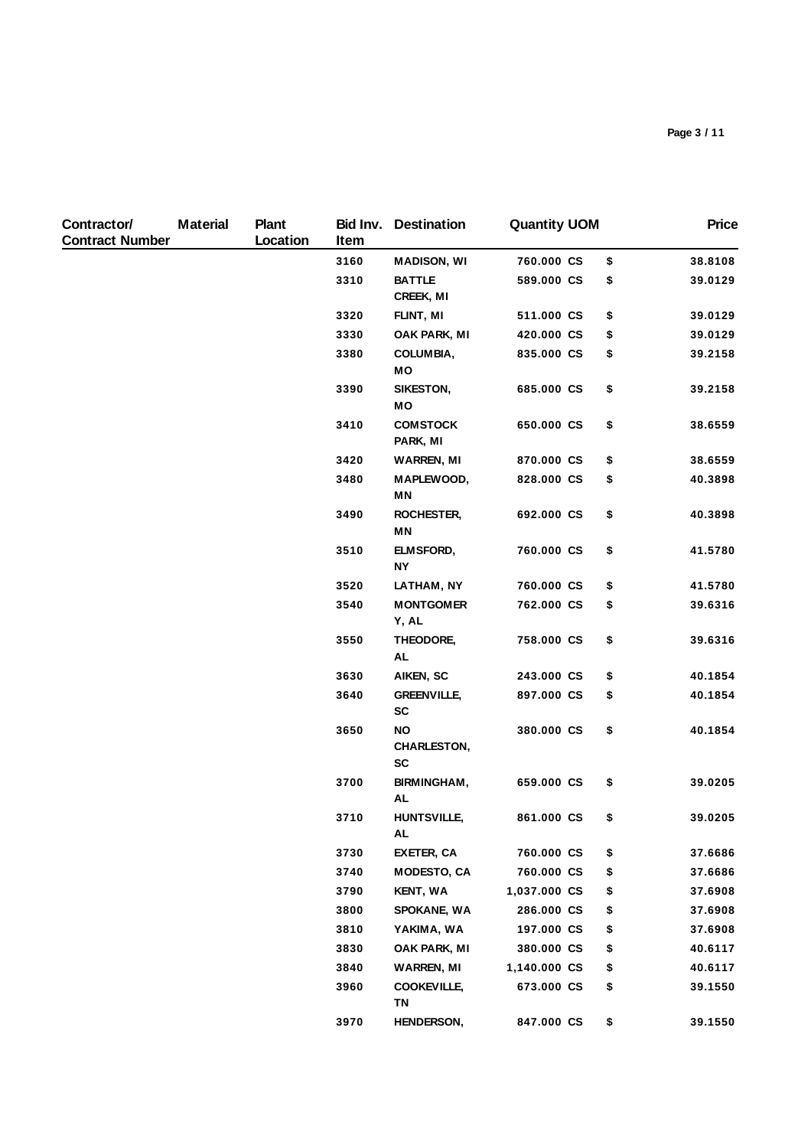| Contractor/<br><b>Contract Number</b> | <b>Material</b> | Plant<br>Location | Bid Inv.<br>Item | <b>Destination</b>                    | <b>Quantity UOM</b> |    | <b>Price</b> |
|---------------------------------------|-----------------|-------------------|------------------|---------------------------------------|---------------------|----|--------------|
|                                       |                 |                   | 3160             | <b>MADISON, WI</b>                    | 760.000 CS          | \$ | 38.8108      |
|                                       |                 |                   | 3310             | <b>BATTLE</b><br>CREEK, MI            | 589.000 CS          | \$ | 39.0129      |
|                                       |                 |                   | 3320             | FLINT, MI                             | 511.000 CS          | \$ | 39.0129      |
|                                       |                 |                   | 3330             | OAK PARK, MI                          | 420.000 CS          | \$ | 39.0129      |
|                                       |                 |                   | 3380             | COLUMBIA,<br>МO                       | 835.000 CS          | \$ | 39.2158      |
|                                       |                 |                   | 3390             | SIKESTON,<br>MО                       | 685.000 CS          | \$ | 39.2158      |
|                                       |                 |                   | 3410             | <b>COMSTOCK</b><br>PARK, MI           | 650.000 CS          | \$ | 38.6559      |
|                                       |                 |                   | 3420             | <b>WARREN, MI</b>                     | 870.000 CS          | \$ | 38.6559      |
|                                       |                 |                   | 3480             | MAPLEWOOD,<br>MN                      | 828.000 CS          | \$ | 40.3898      |
|                                       |                 |                   | 3490             | ROCHESTER,<br>ΜN                      | 692.000 CS          | \$ | 40.3898      |
|                                       |                 |                   | 3510             | ELMSFORD,<br><b>NY</b>                | 760.000 CS          | \$ | 41.5780      |
|                                       |                 |                   | 3520             | LATHAM, NY                            | 760.000 CS          | \$ | 41.5780      |
|                                       |                 |                   | 3540             | <b>MONTGOMER</b><br>Y, AL             | 762.000 CS          | \$ | 39.6316      |
|                                       |                 |                   | 3550             | THEODORE,<br>AL                       | 758.000 CS          | \$ | 39.6316      |
|                                       |                 |                   | 3630             | AIKEN, SC                             | 243.000 CS          | \$ | 40.1854      |
|                                       |                 |                   | 3640             | <b>GREENVILLE,</b><br><b>SC</b>       | 897.000 CS          | \$ | 40.1854      |
|                                       |                 |                   | 3650             | <b>NO</b><br><b>CHARLESTON,</b><br>SC | 380.000 CS          | \$ | 40.1854      |
|                                       |                 |                   | 3700             | BIRMINGHAM,<br>AL                     | 659.000 CS          | \$ | 39.0205      |
|                                       |                 |                   | 3710             | <b>HUNTSVILLE,</b><br>AL              | 861.000 CS          | \$ | 39.0205      |
|                                       |                 |                   | 3730             | <b>EXETER, CA</b>                     | 760.000 CS          | \$ | 37.6686      |
|                                       |                 |                   | 3740             | <b>MODESTO, CA</b>                    | 760.000 CS          | \$ | 37.6686      |
|                                       |                 |                   | 3790             | <b>KENT, WA</b>                       | 1,037.000 CS        | \$ | 37.6908      |
|                                       |                 |                   | 3800             | <b>SPOKANE, WA</b>                    | 286.000 CS          | \$ | 37.6908      |
|                                       |                 |                   | 3810             | YAKIMA, WA                            | 197.000 CS          | \$ | 37.6908      |
|                                       |                 |                   | 3830             | OAK PARK, MI                          | 380.000 CS          | \$ | 40.6117      |
|                                       |                 |                   | 3840             | <b>WARREN, MI</b>                     | 1,140.000 CS        | \$ | 40.6117      |
|                                       |                 |                   | 3960             | <b>COOKEVILLE,</b><br>ΤN              | 673.000 CS          | \$ | 39.1550      |
|                                       |                 |                   | 3970             | <b>HENDERSON,</b>                     | 847.000 CS          | \$ | 39.1550      |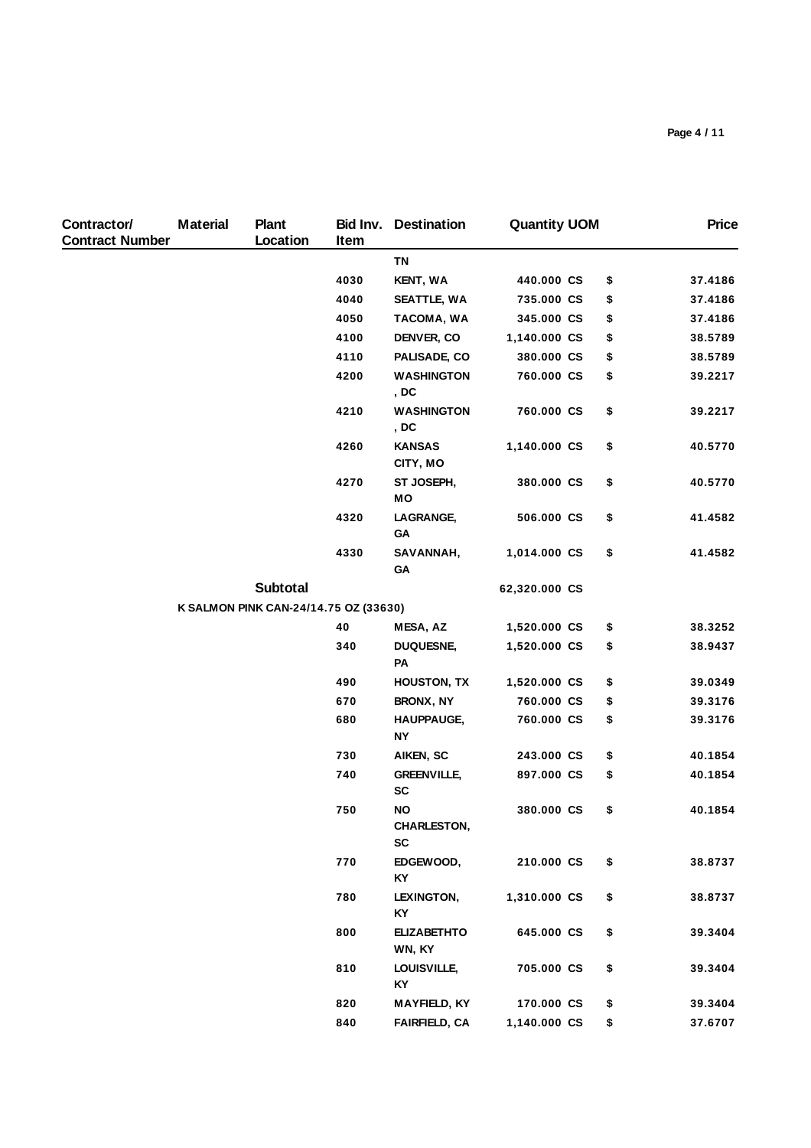| Contractor/<br><b>Contract Number</b> | <b>Material</b> | Plant<br>Location                     | Item | <b>Bid Inv.</b> Destination           | <b>Quantity UOM</b> | <b>Price</b>  |
|---------------------------------------|-----------------|---------------------------------------|------|---------------------------------------|---------------------|---------------|
|                                       |                 |                                       |      | <b>TN</b>                             |                     |               |
|                                       |                 |                                       | 4030 | <b>KENT, WA</b>                       | 440.000 CS          | \$<br>37.4186 |
|                                       |                 |                                       | 4040 | SEATTLE, WA                           | 735.000 CS          | \$<br>37.4186 |
|                                       |                 |                                       | 4050 | TACOMA, WA                            | 345.000 CS          | \$<br>37.4186 |
|                                       |                 |                                       | 4100 | DENVER, CO                            | 1,140.000 CS        | \$<br>38.5789 |
|                                       |                 |                                       | 4110 | PALISADE, CO                          | 380.000 CS          | \$<br>38.5789 |
|                                       |                 |                                       | 4200 | <b>WASHINGTON</b><br>, DC             | 760.000 CS          | \$<br>39.2217 |
|                                       |                 |                                       | 4210 | <b>WASHINGTON</b><br>, DC             | 760.000 CS          | \$<br>39.2217 |
|                                       |                 |                                       | 4260 | <b>KANSAS</b><br>CITY, MO             | 1,140.000 CS        | \$<br>40.5770 |
|                                       |                 |                                       | 4270 | ST JOSEPH,<br>MO                      | 380.000 CS          | \$<br>40.5770 |
|                                       |                 |                                       | 4320 | LAGRANGE,<br>GA                       | 506.000 CS          | \$<br>41.4582 |
|                                       |                 |                                       | 4330 | SAVANNAH,<br>GΑ                       | 1,014.000 CS        | \$<br>41.4582 |
|                                       |                 | <b>Subtotal</b>                       |      |                                       | 62,320.000 CS       |               |
|                                       |                 | K SALMON PINK CAN-24/14.75 OZ (33630) |      |                                       |                     |               |
|                                       |                 |                                       | 40   | MESA, AZ                              | 1,520.000 CS        | \$<br>38.3252 |
|                                       |                 |                                       | 340  | <b>DUQUESNE,</b><br>PA                | 1,520.000 CS        | \$<br>38.9437 |
|                                       |                 |                                       | 490  | <b>HOUSTON, TX</b>                    | 1,520.000 CS        | \$<br>39.0349 |
|                                       |                 |                                       | 670  | BRONX, NY                             | 760.000 CS          | \$<br>39.3176 |
|                                       |                 |                                       | 680  | <b>HAUPPAUGE,</b><br><b>NY</b>        | 760.000 CS          | \$<br>39.3176 |
|                                       |                 |                                       | 730  | AIKEN, SC                             | 243.000 CS          | \$<br>40.1854 |
|                                       |                 |                                       | 740  | <b>GREENVILLE,</b><br><b>SC</b>       | 897.000 CS          | \$<br>40.1854 |
|                                       |                 |                                       | 750  | NO<br><b>CHARLESTON,</b><br><b>SC</b> | 380.000 CS          | \$<br>40.1854 |
|                                       |                 |                                       | 770  | EDGEWOOD,<br>KY                       | 210.000 CS          | \$<br>38.8737 |
|                                       |                 |                                       | 780  | LEXINGTON,<br>KY                      | 1,310.000 CS        | \$<br>38.8737 |
|                                       |                 |                                       | 800  | <b>ELIZABETHTO</b><br>WN, KY          | 645.000 CS          | \$<br>39.3404 |
|                                       |                 |                                       | 810  | LOUISVILLE,<br>KY                     | 705.000 CS          | \$<br>39.3404 |
|                                       |                 |                                       | 820  | <b>MAYFIELD, KY</b>                   | 170.000 CS          | \$<br>39.3404 |
|                                       |                 |                                       | 840  | <b>FAIRFIELD, CA</b>                  | 1,140.000 CS        | \$<br>37.6707 |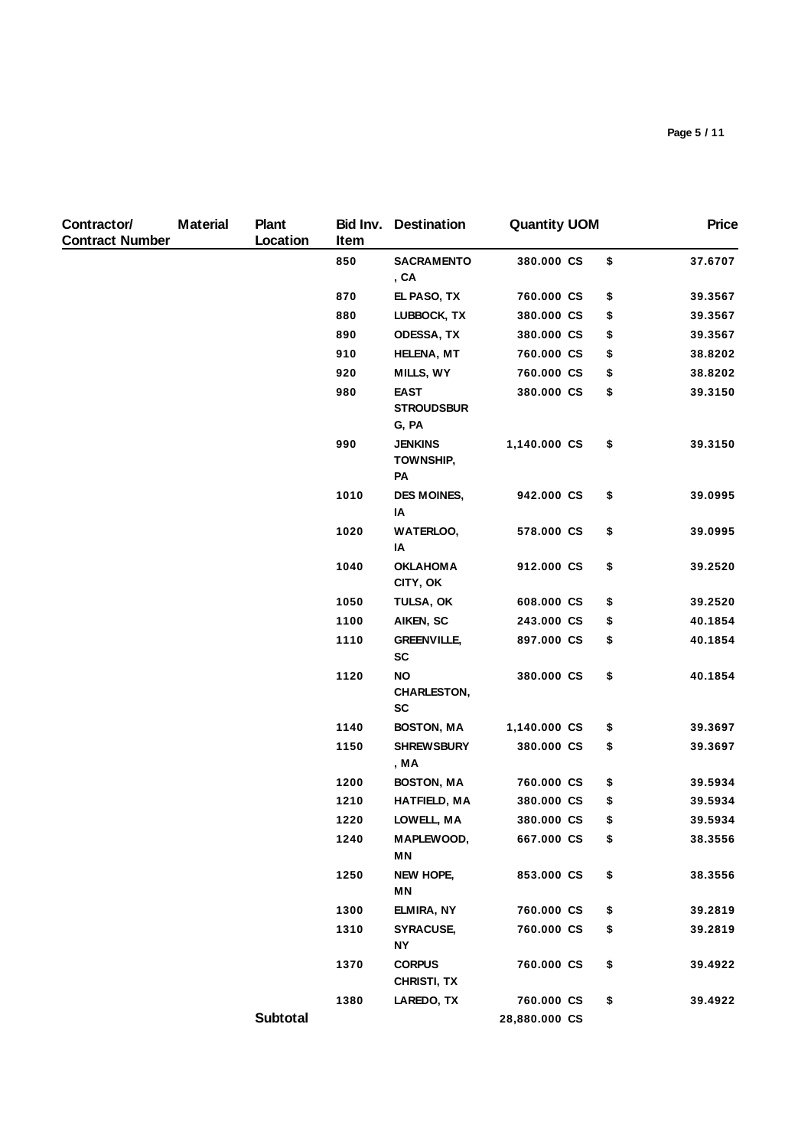| Contractor/<br><b>Contract Number</b> | <b>Material</b> | Plant<br>Location | Item | <b>Bid Inv. Destination</b>                  | <b>Quantity UOM</b> |     | <b>Price</b> |
|---------------------------------------|-----------------|-------------------|------|----------------------------------------------|---------------------|-----|--------------|
|                                       |                 |                   | 850  | <b>SACRAMENTO</b><br>, CA                    | 380.000 CS          | \$  | 37.6707      |
|                                       |                 |                   | 870  | EL PASO, TX                                  | 760.000 CS          | \$  | 39.3567      |
|                                       |                 |                   | 880  | LUBBOCK, TX                                  | 380.000 CS          | \$  | 39.3567      |
|                                       |                 |                   | 890  | <b>ODESSA, TX</b>                            | 380.000 CS          | \$  | 39.3567      |
|                                       |                 |                   | 910  | <b>HELENA, MT</b>                            | 760.000 CS          | \$  | 38.8202      |
|                                       |                 |                   | 920  | MILLS, WY                                    | 760.000 CS          | \$  | 38.8202      |
|                                       |                 |                   | 980  | <b>EAST</b><br><b>STROUDSBUR</b><br>G, PA    | 380.000 CS          | \$  | 39.3150      |
|                                       |                 |                   | 990  | <b>JENKINS</b><br><b>TOWNSHIP,</b><br>PA     | 1,140.000 CS        | \$  | 39.3150      |
|                                       |                 |                   | 1010 | <b>DES MOINES,</b><br>ΙA                     | 942.000 CS          | \$  | 39.0995      |
|                                       |                 |                   | 1020 | <b>WATERLOO,</b><br>IA                       | 578.000 CS          | \$  | 39.0995      |
|                                       |                 |                   | 1040 | <b>OKLAHOMA</b><br>CITY, OK                  | 912.000 CS          | \$  | 39.2520      |
|                                       |                 |                   | 1050 | TULSA, OK                                    | 608.000 CS          | \$  | 39.2520      |
|                                       |                 |                   | 1100 | AIKEN, SC                                    | 243.000 CS          | \$  | 40.1854      |
|                                       |                 |                   | 1110 | <b>GREENVILLE,</b><br><b>SC</b>              | 897.000 CS          | \$  | 40.1854      |
|                                       |                 |                   | 1120 | <b>NO</b><br><b>CHARLESTON,</b><br><b>SC</b> | 380.000 CS          | \$  | 40.1854      |
|                                       |                 |                   | 1140 | <b>BOSTON, MA</b>                            | 1,140.000 CS        | \$  | 39.3697      |
|                                       |                 |                   | 1150 | <b>SHREWSBURY</b><br>, MA                    | 380.000 CS          | \$  | 39.3697      |
|                                       |                 |                   | 1200 | <b>BOSTON, MA</b>                            | 760.000 CS          | \$  | 39.5934      |
|                                       |                 |                   | 1210 | <b>HATFIELD, MA</b>                          | 380.000 CS          | \$  | 39.5934      |
|                                       |                 |                   | 1220 | LOWELL, MA                                   | 380.000 CS          | \$. | 39.5934      |
|                                       |                 |                   | 1240 | MAPLEWOOD,<br>ΜN                             | 667.000 CS          | \$  | 38.3556      |
|                                       |                 |                   | 1250 | NEW HOPE,<br>ΜN                              | 853.000 CS          | \$  | 38.3556      |
|                                       |                 |                   | 1300 | ELMIRA, NY                                   | 760.000 CS          | \$  | 39.2819      |
|                                       |                 |                   | 1310 | <b>SYRACUSE,</b><br><b>NY</b>                | 760.000 CS          | \$  | 39.2819      |
|                                       |                 |                   | 1370 | <b>CORPUS</b><br>CHRISTI, TX                 | 760.000 CS          | \$  | 39.4922      |
|                                       |                 |                   | 1380 | LAREDO, TX                                   | 760.000 CS          | \$  | 39.4922      |
|                                       |                 | Subtotal          |      |                                              | 28,880.000 CS       |     |              |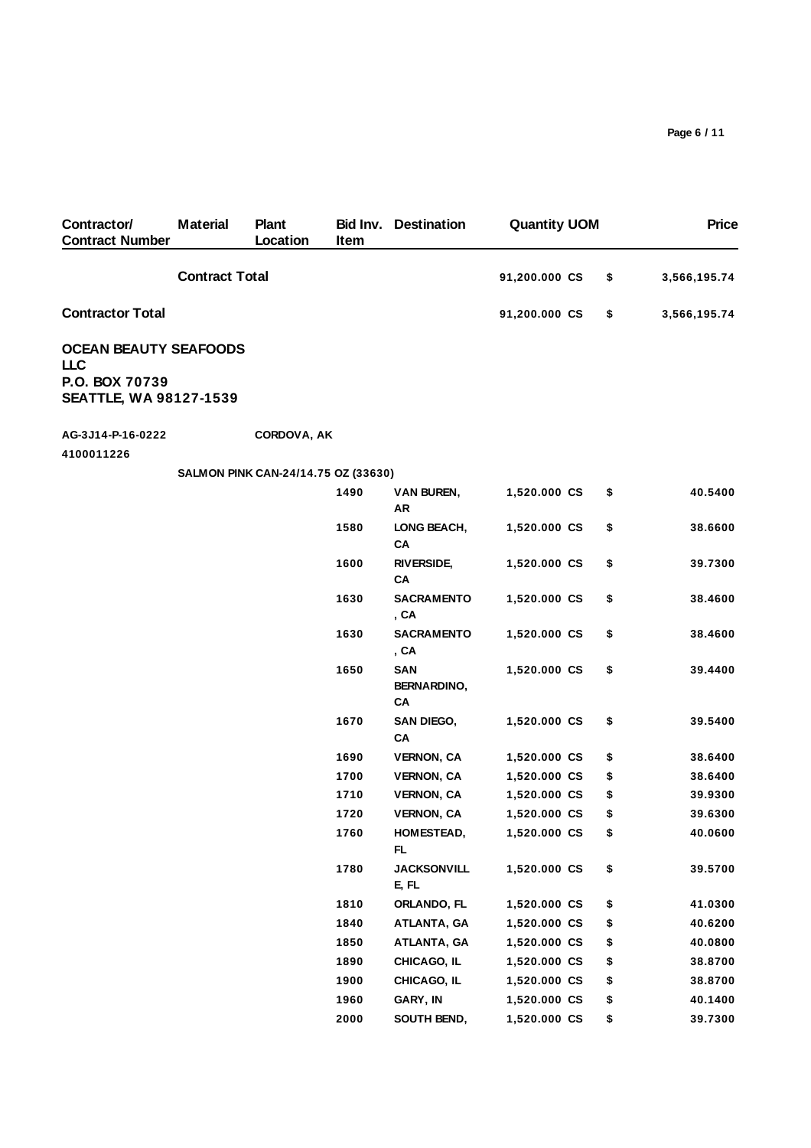| Contractor/<br><b>Contract Number</b>           | <b>Material</b>       | <b>Plant</b><br>Location            | Bid Inv.<br>Item | <b>Destination</b>                     | <b>Quantity UOM</b> |    | <b>Price</b> |
|-------------------------------------------------|-----------------------|-------------------------------------|------------------|----------------------------------------|---------------------|----|--------------|
|                                                 | <b>Contract Total</b> |                                     |                  |                                        | 91,200.000 CS       | \$ | 3,566,195.74 |
| <b>Contractor Total</b>                         |                       |                                     |                  |                                        | 91,200.000 CS       | \$ | 3,566,195.74 |
| <b>OCEAN BEAUTY SEAFOODS</b><br><b>LLC</b>      |                       |                                     |                  |                                        |                     |    |              |
| P.O. BOX 70739<br><b>SEATTLE, WA 98127-1539</b> |                       |                                     |                  |                                        |                     |    |              |
| AG-3J14-P-16-0222<br>4100011226                 |                       | CORDOVA, AK                         |                  |                                        |                     |    |              |
|                                                 |                       | SALMON PINK CAN-24/14.75 OZ (33630) |                  |                                        |                     |    |              |
|                                                 |                       |                                     | 1490             | <b>VAN BUREN,</b><br>AR                | 1,520.000 CS        | \$ | 40.5400      |
|                                                 |                       |                                     | 1580             | LONG BEACH,<br>CA                      | 1,520.000 CS        | \$ | 38.6600      |
|                                                 |                       |                                     | 1600             | <b>RIVERSIDE,</b><br>CA                | 1,520.000 CS        | \$ | 39.7300      |
|                                                 |                       |                                     | 1630             | <b>SACRAMENTO</b><br>, CA              | 1,520.000 CS        | \$ | 38.4600      |
|                                                 |                       |                                     | 1630             | <b>SACRAMENTO</b><br>, CA              | 1,520.000 CS        | \$ | 38.4600      |
|                                                 |                       |                                     | 1650             | <b>SAN</b><br><b>BERNARDINO,</b><br>CA | 1,520.000 CS        | \$ | 39.4400      |
|                                                 |                       |                                     | 1670             | <b>SAN DIEGO,</b><br>CA                | 1,520.000 CS        | \$ | 39.5400      |
|                                                 |                       |                                     | 1690             | <b>VERNON, CA</b>                      | 1,520.000 CS        | \$ | 38.6400      |
|                                                 |                       |                                     | 1700             | <b>VERNON, CA</b>                      | 1,520.000 CS        | \$ | 38.6400      |
|                                                 |                       |                                     | 1710             | <b>VERNON, CA</b>                      | 1,520.000 CS        | \$ | 39.9300      |
|                                                 |                       |                                     | 1720             | <b>VERNON, CA</b>                      | 1,520.000 CS        | \$ | 39.6300      |
|                                                 |                       |                                     | 1760             | HOMESTEAD,<br>FL.                      | 1,520.000 CS        | \$ | 40.0600      |
|                                                 |                       |                                     | 1780             | <b>JACKSONVILL</b><br>E, FL            | 1,520.000 CS        | \$ | 39.5700      |
|                                                 |                       |                                     | 1810             | ORLANDO, FL                            | 1,520.000 CS        | \$ | 41.0300      |
|                                                 |                       |                                     | 1840             | ATLANTA, GA                            | 1,520.000 CS        | \$ | 40.6200      |
|                                                 |                       |                                     | 1850             | ATLANTA, GA                            | 1,520.000 CS        | \$ | 40.0800      |
|                                                 |                       |                                     | 1890             | CHICAGO, IL                            | 1,520.000 CS        | \$ | 38.8700      |
|                                                 |                       |                                     | 1900             | CHICAGO, IL                            | 1,520.000 CS        | \$ | 38.8700      |
|                                                 |                       |                                     | 1960             | GARY, IN                               | 1,520.000 CS        | \$ | 40.1400      |
|                                                 |                       |                                     | 2000             | SOUTH BEND,                            | 1,520.000 CS        | \$ | 39.7300      |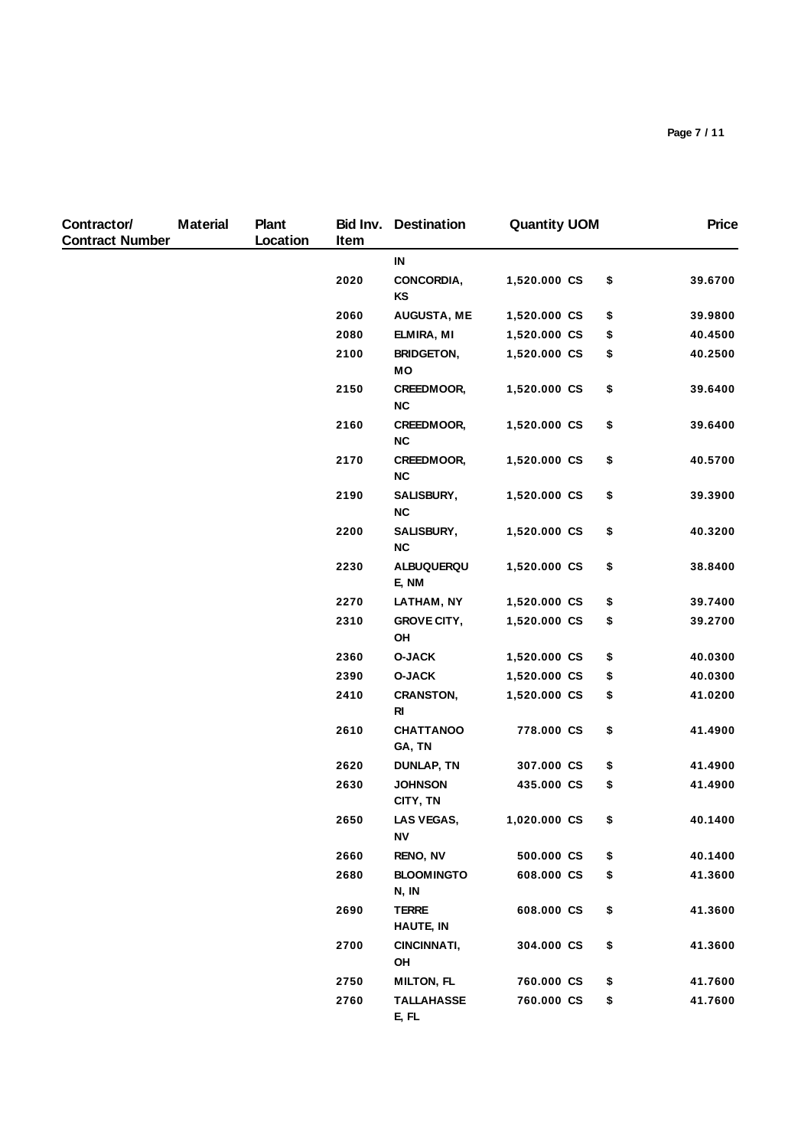| Contractor/<br><b>Contract Number</b> | <b>Material</b> | <b>Plant</b><br>Location | Item | <b>Bid Inv.</b> Destination      | <b>Quantity UOM</b> |     | <b>Price</b> |
|---------------------------------------|-----------------|--------------------------|------|----------------------------------|---------------------|-----|--------------|
|                                       |                 |                          |      | IN                               |                     |     |              |
|                                       |                 |                          | 2020 | CONCORDIA,<br>KS                 | 1,520.000 CS        | \$  | 39.6700      |
|                                       |                 |                          | 2060 | <b>AUGUSTA, ME</b>               | 1,520.000 CS        | \$  | 39.9800      |
|                                       |                 |                          | 2080 | ELMIRA, MI                       | 1,520.000 CS        | \$  | 40.4500      |
|                                       |                 |                          | 2100 | <b>BRIDGETON,</b><br>MО          | 1,520.000 CS        | \$  | 40.2500      |
|                                       |                 |                          | 2150 | CREEDMOOR,<br><b>NC</b>          | 1,520.000 CS        | \$  | 39.6400      |
|                                       |                 |                          | 2160 | CREEDMOOR,<br><b>NC</b>          | 1,520.000 CS        | \$  | 39.6400      |
|                                       |                 |                          | 2170 | CREEDMOOR,<br><b>NC</b>          | 1,520.000 CS        | \$  | 40.5700      |
|                                       |                 |                          | 2190 | SALISBURY,<br>NC                 | 1,520.000 CS        | \$  | 39.3900      |
|                                       |                 |                          | 2200 | SALISBURY,<br><b>NC</b>          | 1,520.000 CS        | \$  | 40.3200      |
|                                       |                 |                          | 2230 | ALBUQUERQU<br>E, NM              | 1,520.000 CS        | \$  | 38.8400      |
|                                       |                 |                          | 2270 | LATHAM, NY                       | 1,520.000 CS        | \$  | 39.7400      |
|                                       |                 |                          | 2310 | <b>GROVE CITY,</b><br>OH         | 1,520.000 CS        | \$  | 39.2700      |
|                                       |                 |                          | 2360 | <b>O-JACK</b>                    | 1,520.000 CS        | \$  | 40.0300      |
|                                       |                 |                          | 2390 | <b>O-JACK</b>                    | 1,520.000 CS        | \$  | 40.0300      |
|                                       |                 |                          | 2410 | <b>CRANSTON,</b><br><b>RI</b>    | 1,520.000 CS        | \$  | 41.0200      |
|                                       |                 |                          | 2610 | <b>CHATTANOO</b><br>GA, TN       | 778.000 CS          | \$  | 41.4900      |
|                                       |                 |                          | 2620 | <b>DUNLAP, TN</b>                | 307.000 CS          | \$  | 41.4900      |
|                                       |                 |                          | 2630 | <b>JOHNSON</b><br>CITY, TN       | 435.000 CS          | \$  | 41.4900      |
|                                       |                 |                          | 2650 | LAS VEGAS,<br>ΝV                 | 1,020.000 CS        | \$. | 40.1400      |
|                                       |                 |                          | 2660 | <b>RENO, NV</b>                  | 500.000 CS          | \$  | 40.1400      |
|                                       |                 |                          | 2680 | <b>BLOOMINGTO</b><br>N, IN       | 608.000 CS          | \$  | 41.3600      |
|                                       |                 |                          | 2690 | <b>TERRE</b><br><b>HAUTE, IN</b> | 608.000 CS          | \$  | 41.3600      |
|                                       |                 |                          | 2700 | CINCINNATI,<br>OH                | 304.000 CS          | \$  | 41.3600      |
|                                       |                 |                          | 2750 | <b>MILTON, FL</b>                | 760.000 CS          | \$  | 41.7600      |
|                                       |                 |                          | 2760 | <b>TALLAHASSE</b><br>E, FL       | 760.000 CS          | \$  | 41.7600      |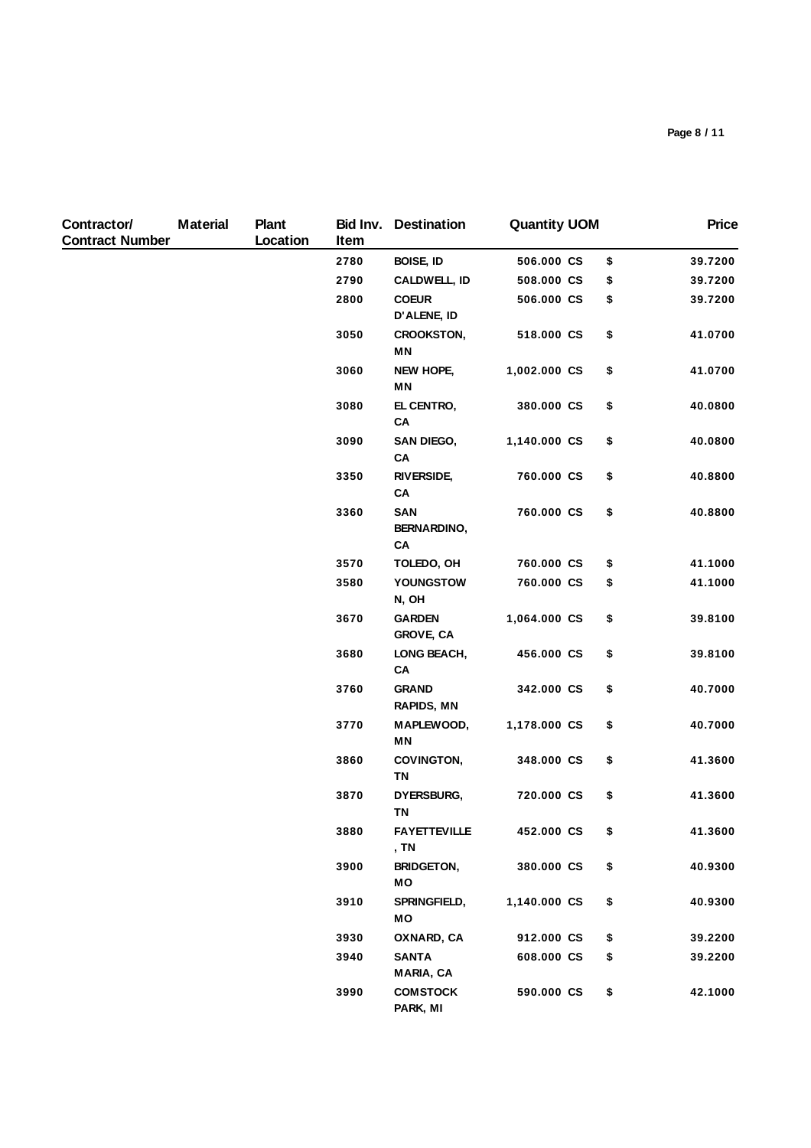| Contractor/<br><b>Contract Number</b> | <b>Material</b> | <b>Plant</b><br>Location | Item | <b>Bid Inv. Destination</b>            | <b>Quantity UOM</b> |    | <b>Price</b> |
|---------------------------------------|-----------------|--------------------------|------|----------------------------------------|---------------------|----|--------------|
|                                       |                 |                          | 2780 | BOISE, ID                              | 506.000 CS          | \$ | 39.7200      |
|                                       |                 |                          | 2790 | <b>CALDWELL, ID</b>                    | 508.000 CS          | \$ | 39.7200      |
|                                       |                 |                          | 2800 | <b>COEUR</b><br>D'ALENE, ID            | 506.000 CS          | \$ | 39.7200      |
|                                       |                 |                          | 3050 | <b>CROOKSTON,</b><br>ΜN                | 518.000 CS          | \$ | 41.0700      |
|                                       |                 |                          | 3060 | NEW HOPE,<br>MN                        | 1,002.000 CS        | \$ | 41.0700      |
|                                       |                 |                          | 3080 | EL CENTRO,<br>CA                       | 380.000 CS          | \$ | 40.0800      |
|                                       |                 |                          | 3090 | <b>SAN DIEGO,</b><br>CA                | 1,140.000 CS        | \$ | 40.0800      |
|                                       |                 |                          | 3350 | <b>RIVERSIDE,</b><br>CA                | 760.000 CS          | \$ | 40.8800      |
|                                       |                 |                          | 3360 | <b>SAN</b><br><b>BERNARDINO,</b><br>CA | 760.000 CS          | \$ | 40.8800      |
|                                       |                 |                          | 3570 | TOLEDO, OH                             | 760.000 CS          | \$ | 41.1000      |
|                                       |                 |                          | 3580 | YOUNGSTOW<br>N, OH                     | 760.000 CS          | \$ | 41.1000      |
|                                       |                 |                          | 3670 | <b>GARDEN</b><br><b>GROVE, CA</b>      | 1,064.000 CS        | \$ | 39.8100      |
|                                       |                 |                          | 3680 | LONG BEACH,<br>CA                      | 456.000 CS          | \$ | 39.8100      |
|                                       |                 |                          | 3760 | <b>GRAND</b><br><b>RAPIDS, MN</b>      | 342.000 CS          | \$ | 40.7000      |
|                                       |                 |                          | 3770 | MAPLEWOOD,<br>MN                       | 1,178.000 CS        | \$ | 40.7000      |
|                                       |                 |                          | 3860 | COVINGTON,<br>ΤN                       | 348.000 CS          | \$ | 41.3600      |
|                                       |                 |                          | 3870 | DYERSBURG,<br><b>TN</b>                | 720.000 CS          | \$ | 41.3600      |
|                                       |                 |                          | 3880 | <b>FAYETTEVILLE</b><br>, TN            | 452.000 CS          | \$ | 41.3600      |
|                                       |                 |                          | 3900 | <b>BRIDGETON,</b><br>MO                | 380.000 CS          | \$ | 40.9300      |
|                                       |                 |                          | 3910 | SPRINGFIELD,<br>МO                     | 1,140.000 CS        | \$ | 40.9300      |
|                                       |                 |                          | 3930 | OXNARD, CA                             | 912.000 CS          | \$ | 39.2200      |
|                                       |                 |                          | 3940 | <b>SANTA</b><br>MARIA, CA              | 608.000 CS          | \$ | 39.2200      |
|                                       |                 |                          | 3990 | <b>COMSTOCK</b><br>PARK, MI            | 590.000 CS          | \$ | 42.1000      |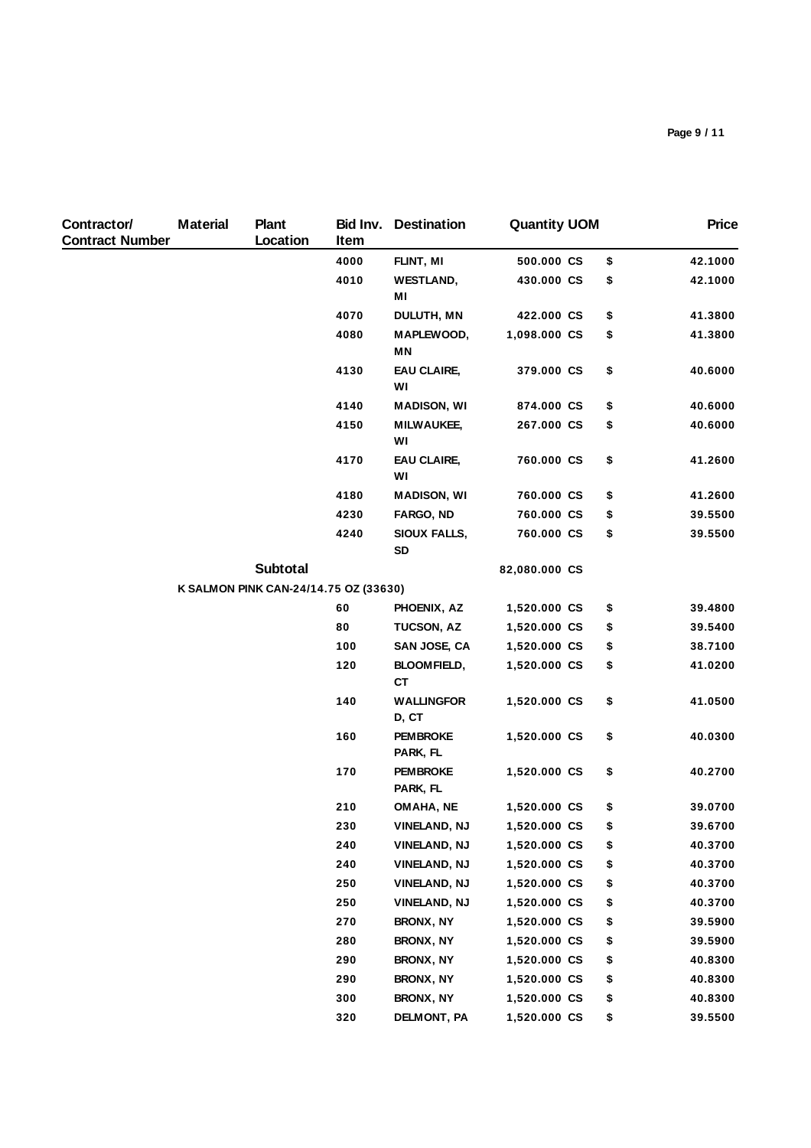| Contractor/<br><b>Contract Number</b> | <b>Material</b> | <b>Plant</b><br>Location              | Item | <b>Bid Inv.</b> Destination      | <b>Quantity UOM</b> |    | <b>Price</b> |
|---------------------------------------|-----------------|---------------------------------------|------|----------------------------------|---------------------|----|--------------|
|                                       |                 |                                       | 4000 | FLINT, MI                        | 500.000 CS          | \$ | 42.1000      |
|                                       |                 |                                       | 4010 | <b>WESTLAND,</b><br>MI           | 430.000 CS          | \$ | 42.1000      |
|                                       |                 |                                       | 4070 | DULUTH, MN                       | 422.000 CS          | \$ | 41.3800      |
|                                       |                 |                                       | 4080 | MAPLEWOOD,<br>ΜN                 | 1,098.000 CS        | \$ | 41.3800      |
|                                       |                 |                                       | 4130 | <b>EAU CLAIRE,</b><br>WI         | 379.000 CS          | \$ | 40.6000      |
|                                       |                 |                                       | 4140 | <b>MADISON, WI</b>               | 874.000 CS          | \$ | 40.6000      |
|                                       |                 |                                       | 4150 | <b>MILWAUKEE,</b><br>WI          | 267.000 CS          | \$ | 40.6000      |
|                                       |                 |                                       | 4170 | EAU CLAIRE,<br>WI                | 760.000 CS          | \$ | 41.2600      |
|                                       |                 |                                       | 4180 | <b>MADISON, WI</b>               | 760.000 CS          | \$ | 41.2600      |
|                                       |                 |                                       | 4230 | FARGO, ND                        | 760.000 CS          | \$ | 39.5500      |
|                                       |                 |                                       | 4240 | <b>SIOUX FALLS,</b><br><b>SD</b> | 760.000 CS          | \$ | 39.5500      |
|                                       |                 | Subtotal                              |      |                                  | 82,080.000 CS       |    |              |
|                                       |                 | K SALMON PINK CAN-24/14.75 OZ (33630) |      |                                  |                     |    |              |
|                                       |                 |                                       | 60   | PHOENIX, AZ                      | 1,520.000 CS        | \$ | 39.4800      |
|                                       |                 |                                       | 80   | TUCSON, AZ                       | 1,520.000 CS        | \$ | 39.5400      |
|                                       |                 |                                       | 100  | SAN JOSE, CA                     | 1,520.000 CS        | \$ | 38.7100      |
|                                       |                 |                                       | 120  | <b>BLOOMFIELD,</b><br><b>CT</b>  | 1,520.000 CS        | \$ | 41.0200      |
|                                       |                 |                                       | 140  | <b>WALLINGFOR</b><br>D, CT       | 1,520.000 CS        | \$ | 41.0500      |
|                                       |                 |                                       | 160  | <b>PEMBROKE</b><br>PARK, FL      | 1,520.000 CS        | \$ | 40.0300      |
|                                       |                 |                                       | 170  | <b>PEM BROKE</b><br>PARK, FL     | 1,520.000 CS        | \$ | 40.2700      |
|                                       |                 |                                       | 210  | OMAHA, NE                        | 1,520.000 CS        | \$ | 39.0700      |
|                                       |                 |                                       | 230  | <b>VINELAND, NJ</b>              | 1,520.000 CS        | \$ | 39.6700      |
|                                       |                 |                                       | 240  | <b>VINELAND, NJ</b>              | 1,520.000 CS        | \$ | 40.3700      |
|                                       |                 |                                       | 240  | <b>VINELAND, NJ</b>              | 1,520.000 CS        | \$ | 40.3700      |
|                                       |                 |                                       | 250  | VINELAND, NJ                     | 1,520.000 CS        | \$ | 40.3700      |
|                                       |                 |                                       | 250  | <b>VINELAND, NJ</b>              | 1,520.000 CS        | \$ | 40.3700      |
|                                       |                 |                                       | 270  | BRONX, NY                        | 1,520.000 CS        | \$ | 39.5900      |
|                                       |                 |                                       | 280  | <b>BRONX, NY</b>                 | 1,520.000 CS        | \$ | 39.5900      |
|                                       |                 |                                       | 290  | <b>BRONX, NY</b>                 | 1,520.000 CS        | \$ | 40.8300      |
|                                       |                 |                                       | 290  | <b>BRONX, NY</b>                 | 1,520.000 CS        | \$ | 40.8300      |
|                                       |                 |                                       | 300  | <b>BRONX, NY</b>                 | 1,520.000 CS        | \$ | 40.8300      |
|                                       |                 |                                       | 320  | DELMONT, PA                      | 1,520.000 CS        | \$ | 39.5500      |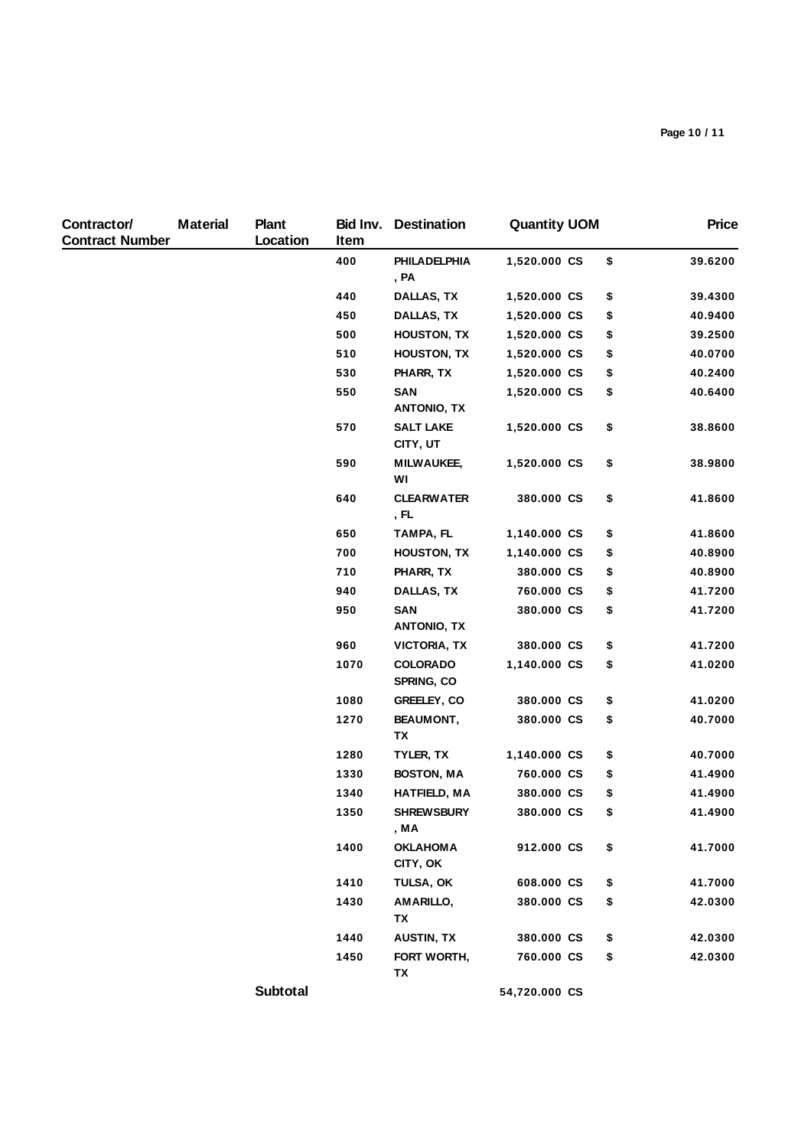| Contractor/<br><b>Contract Number</b> | <b>Material</b> | <b>Plant</b><br>Location | Bid Inv.<br>Item | <b>Destination</b>                   | <b>Quantity UOM</b> | <b>Price</b>  |
|---------------------------------------|-----------------|--------------------------|------------------|--------------------------------------|---------------------|---------------|
|                                       |                 |                          | 400              | PHILADELPHIA<br>, PA                 | 1,520.000 CS        | \$<br>39.6200 |
|                                       |                 |                          | 440              | DALLAS, TX                           | 1,520.000 CS        | \$<br>39.4300 |
|                                       |                 |                          | 450              | DALLAS, TX                           | 1,520.000 CS        | \$<br>40.9400 |
|                                       |                 |                          | 500              | <b>HOUSTON, TX</b>                   | 1,520.000 CS        | \$<br>39.2500 |
|                                       |                 |                          | 510              | <b>HOUSTON, TX</b>                   | 1,520.000 CS        | \$<br>40.0700 |
|                                       |                 |                          | 530              | PHARR, TX                            | 1,520.000 CS        | \$<br>40.2400 |
|                                       |                 |                          | 550              | <b>SAN</b><br><b>ANTONIO, TX</b>     | 1,520.000 CS        | \$<br>40.6400 |
|                                       |                 |                          | 570              | <b>SALT LAKE</b><br>CITY, UT         | 1,520.000 CS        | \$<br>38.8600 |
|                                       |                 |                          | 590              | <b>MILWAUKEE,</b><br>WI              | 1,520.000 CS        | \$<br>38.9800 |
|                                       |                 |                          | 640              | <b>CLEARWATER</b><br>, FL            | 380.000 CS          | \$<br>41.8600 |
|                                       |                 |                          | 650              | TAMPA, FL                            | 1,140.000 CS        | \$<br>41.8600 |
|                                       |                 |                          | 700              | <b>HOUSTON, TX</b>                   | 1,140.000 CS        | \$<br>40.8900 |
|                                       |                 |                          | 710              | PHARR, TX                            | 380.000 CS          | \$<br>40.8900 |
|                                       |                 |                          | 940              | DALLAS, TX                           | 760.000 CS          | \$<br>41.7200 |
|                                       |                 |                          | 950              | <b>SAN</b><br><b>ANTONIO, TX</b>     | 380.000 CS          | \$<br>41.7200 |
|                                       |                 |                          | 960              | <b>VICTORIA, TX</b>                  | 380.000 CS          | \$<br>41.7200 |
|                                       |                 |                          | 1070             | <b>COLORADO</b><br><b>SPRING, CO</b> | 1,140.000 CS        | \$<br>41.0200 |
|                                       |                 |                          | 1080             | GREELEY, CO                          | 380.000 CS          | \$<br>41.0200 |
|                                       |                 |                          | 1270             | <b>BEAUMONT,</b><br>ΤХ               | 380.000 CS          | \$<br>40.7000 |
|                                       |                 |                          | 1280             | TYLER, TX                            | 1,140.000 CS        | \$<br>40.7000 |
|                                       |                 |                          | 1330             | <b>BOSTON, MA</b>                    | 760.000 CS          | \$<br>41.4900 |
|                                       |                 |                          | 1340             | <b>HATFIELD, MA</b>                  | 380.000 CS          | \$<br>41.4900 |
|                                       |                 |                          | 1350             | <b>SHREWSBURY</b><br>, MA            | 380.000 CS          | \$<br>41.4900 |
|                                       |                 |                          | 1400             | <b>OKLAHOMA</b><br>CITY, OK          | 912.000 CS          | \$<br>41.7000 |
|                                       |                 |                          | 1410             | TULSA, OK                            | 608.000 CS          | \$<br>41.7000 |
|                                       |                 |                          | 1430             | AMARILLO,<br>TX                      | 380.000 CS          | \$<br>42.0300 |
|                                       |                 |                          | 1440             | <b>AUSTIN, TX</b>                    | 380.000 CS          | \$<br>42.0300 |
|                                       |                 |                          | 1450             | FORT WORTH,<br>TX                    | 760.000 CS          | \$<br>42.0300 |
|                                       |                 | <b>Subtotal</b>          |                  |                                      | 54,720.000 CS       |               |